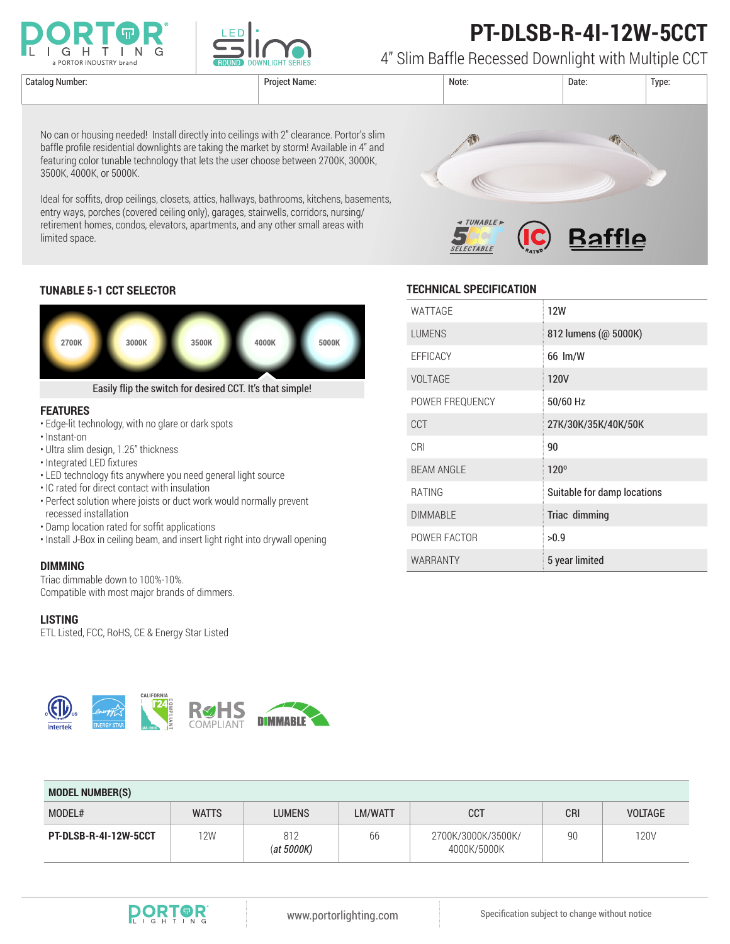

3500K, 4000K, or 5000K.

limited space.



# **PT-DLSB-R-4I-12W-5CCT**

4" Slim Baffle Recessed Downlight with Multiple CCT



### **TUNABLE 5-1 CCT SELECTOR**



No can or housing needed! Install directly into ceilings with 2" clearance. Portor's slim baffle profile residential downlights are taking the market by storm! Available in 4" and featuring color tunable technology that lets the user choose between 2700K, 3000K,

Ideal for soffits, drop ceilings, closets, attics, hallways, bathrooms, kitchens, basements, entry ways, porches (covered ceiling only), garages, stairwells, corridors, nursing/ retirement homes, condos, elevators, apartments, and any other small areas with

#### **FEATURES**

- Edge-lit technology, with no glare or dark spots
- Instant-on
- Ultra slim design, 1.25" thickness
- Integrated LED fixtures
- LED technology fits anywhere you need general light source
- IC rated for direct contact with insulation
- Perfect solution where joists or duct work would normally prevent recessed installation
- Damp location rated for soffit applications
- Install J-Box in ceiling beam, and insert light right into drywall opening

#### **DIMMING**

Triac dimmable down to 100%-10%. Compatible with most major brands of dimmers.

#### **LISTING**

ETL Listed, FCC, RoHS, CE & Energy Star Listed

**JA8-2016**

**CALIFORNIA**

COMPLIANT



| WATTAGE           | 12W                         |
|-------------------|-----------------------------|
| <b>LUMENS</b>     | 812 lumens (@ 5000K)        |
| EFFICACY          | 66 lm/W                     |
| VOLTAGE           | 120V                        |
| POWER FREQUENCY   | 50/60 Hz                    |
| <b>CCT</b>        | 27K/30K/35K/40K/50K         |
| CRI               | 90                          |
| <b>BEAM ANGLE</b> | 120°                        |
| <b>RATING</b>     | Suitable for damp locations |
| <b>DIMMABLE</b>   | Triac dimming               |
| POWER FACTOR      | >0.9                        |
| <b>WARRANTY</b>   | 5 year limited              |

| <b>MODEL NUMBER(S)</b> |              |                      |                |                                   |            |                |  |  |
|------------------------|--------------|----------------------|----------------|-----------------------------------|------------|----------------|--|--|
| MODEL#                 | <b>WATTS</b> | <b>LUMENS</b>        | <b>LM/WATT</b> | <b>CCT</b>                        | <b>CRI</b> | <b>VOLTAGE</b> |  |  |
| PT-DLSB-R-4I-12W-5CCT  | 12W          | 812<br>$(at\ 5000K)$ | 66             | 2700K/3000K/3500K/<br>4000K/5000K | 90         | 120V           |  |  |



**DIMMABLE**